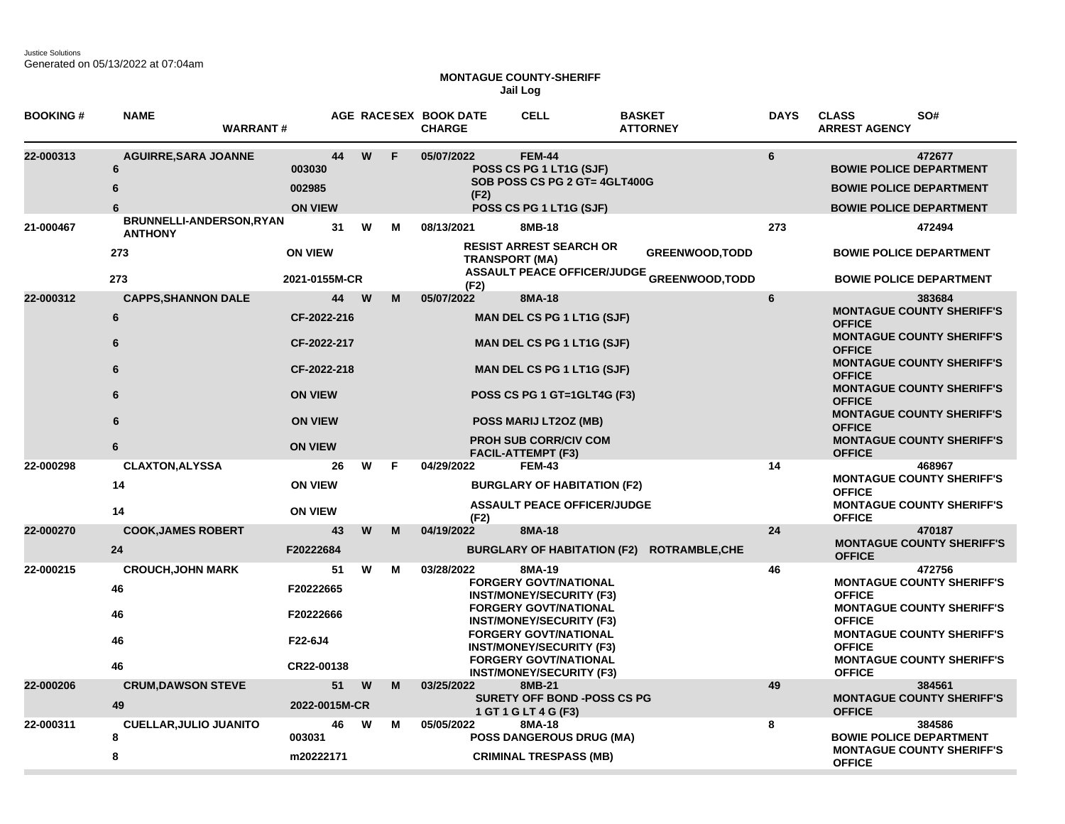Justice Solutions Generated on 05/13/2022 at 07:04am

## **MONTAGUE COUNTY-SHERIFF Jail Log**

| <b>BOOKING#</b> | <b>NAME</b><br><b>WARRANT#</b>                                  |                                                                                                                        |   |        | AGE RACESEX BOOK DATE<br><b>CHARGE</b> | <b>CELL</b>                                                                                                                                                                                                                                                                        | <b>BASKET</b><br><b>ATTORNEY</b>                                            | <b>DAYS</b> | <b>CLASS</b><br>SO#<br><b>ARREST AGENCY</b>                                                                                                                                                                                                                                                                                                           |
|-----------------|-----------------------------------------------------------------|------------------------------------------------------------------------------------------------------------------------|---|--------|----------------------------------------|------------------------------------------------------------------------------------------------------------------------------------------------------------------------------------------------------------------------------------------------------------------------------------|-----------------------------------------------------------------------------|-------------|-------------------------------------------------------------------------------------------------------------------------------------------------------------------------------------------------------------------------------------------------------------------------------------------------------------------------------------------------------|
| 22-000313       | <b>AGUIRRE, SARA JOANNE</b><br>6<br>6<br>6                      | 44<br>003030<br>002985<br><b>ON VIEW</b>                                                                               |   | W<br>F | 05/07/2022<br>(F2)                     | <b>FEM-44</b><br>POSS CS PG 1 LT1G (SJF)<br>SOB POSS CS PG 2 GT= 4GLT400G<br>POSS CS PG 1 LT1G (SJF)                                                                                                                                                                               |                                                                             | 6           | 472677<br><b>BOWIE POLICE DEPARTMENT</b><br><b>BOWIE POLICE DEPARTMENT</b><br><b>BOWIE POLICE DEPARTMENT</b>                                                                                                                                                                                                                                          |
| 21-000467       | BRUNNELLI-ANDERSON, RYAN<br><b>ANTHONY</b><br>273               | 31<br><b>ON VIEW</b>                                                                                                   |   | W<br>м | 08/13/2021<br><b>TRANSPORT (MA)</b>    | 8MB-18<br><b>RESIST ARREST SEARCH OR</b>                                                                                                                                                                                                                                           | <b>GREENWOOD, TODD</b><br><b>ASSAULT PEACE OFFICER/JUDGE GREENWOOD,TODD</b> | 273         | 472494<br><b>BOWIE POLICE DEPARTMENT</b>                                                                                                                                                                                                                                                                                                              |
| 22-000312       | 273<br><b>CAPPS, SHANNON DALE</b><br>6<br>6<br>6<br>6<br>6<br>6 | 2021-0155M-CR<br>44<br>CF-2022-216<br>CF-2022-217<br>CF-2022-218<br><b>ON VIEW</b><br><b>ON VIEW</b><br><b>ON VIEW</b> | W | м      | (F2)<br>05/07/2022                     | 8MA-18<br>MAN DEL CS PG 1 LT1G (SJF)<br><b>MAN DEL CS PG 1 LT1G (SJF)</b><br><b>MAN DEL CS PG 1 LT1G (SJF)</b><br>POSS CS PG 1 GT=1GLT4G (F3)<br>POSS MARIJ LT2OZ (MB)<br><b>PROH SUB CORR/CIV COM</b>                                                                             |                                                                             | 6           | <b>BOWIE POLICE DEPARTMENT</b><br>383684<br><b>MONTAGUE COUNTY SHERIFF'S</b><br><b>OFFICE</b><br><b>MONTAGUE COUNTY SHERIFF'S</b><br><b>OFFICE</b><br><b>MONTAGUE COUNTY SHERIFF'S</b><br><b>OFFICE</b><br><b>MONTAGUE COUNTY SHERIFF'S</b><br><b>OFFICE</b><br><b>MONTAGUE COUNTY SHERIFF'S</b><br><b>OFFICE</b><br><b>MONTAGUE COUNTY SHERIFF'S</b> |
| 22-000298       | <b>CLAXTON, ALYSSA</b><br>14<br>14                              | 26<br><b>ON VIEW</b><br><b>ON VIEW</b>                                                                                 |   | w<br>F | 04/29/2022<br>(F2)                     | <b>FACIL-ATTEMPT (F3)</b><br><b>FEM-43</b><br><b>BURGLARY OF HABITATION (F2)</b><br><b>ASSAULT PEACE OFFICER/JUDGE</b>                                                                                                                                                             |                                                                             | 14          | <b>OFFICE</b><br>468967<br><b>MONTAGUE COUNTY SHERIFF'S</b><br><b>OFFICE</b><br><b>MONTAGUE COUNTY SHERIFF'S</b><br><b>OFFICE</b>                                                                                                                                                                                                                     |
| 22-000270       | <b>COOK, JAMES ROBERT</b><br>24                                 | 43<br>F20222684                                                                                                        |   | W<br>M | 04/19/2022                             | 8MA-18                                                                                                                                                                                                                                                                             | BURGLARY OF HABITATION (F2) ROTRAMBLE,CHE                                   | 24          | 470187<br><b>MONTAGUE COUNTY SHERIFF'S</b><br><b>OFFICE</b>                                                                                                                                                                                                                                                                                           |
| 22-000215       | <b>CROUCH, JOHN MARK</b><br>46<br>46<br>46<br>46                | 51<br>F20222665<br>F20222666<br>F22-6J4<br>CR22-00138                                                                  |   | W<br>м | 03/28/2022                             | 8MA-19<br><b>FORGERY GOVT/NATIONAL</b><br><b>INST/MONEY/SECURITY (F3)</b><br><b>FORGERY GOVT/NATIONAL</b><br><b>INST/MONEY/SECURITY (F3)</b><br><b>FORGERY GOVT/NATIONAL</b><br><b>INST/MONEY/SECURITY (F3)</b><br><b>FORGERY GOVT/NATIONAL</b><br><b>INST/MONEY/SECURITY (F3)</b> |                                                                             | 46          | 472756<br><b>MONTAGUE COUNTY SHERIFF'S</b><br><b>OFFICE</b><br><b>MONTAGUE COUNTY SHERIFF'S</b><br><b>OFFICE</b><br><b>MONTAGUE COUNTY SHERIFF'S</b><br><b>OFFICE</b><br><b>MONTAGUE COUNTY SHERIFF'S</b><br><b>OFFICE</b>                                                                                                                            |
| 22-000206       | <b>CRUM, DAWSON STEVE</b><br>49                                 | 51<br>2022-0015M-CR                                                                                                    | W | M      | 03/25/2022                             | 8MB-21<br><b>SURETY OFF BOND -POSS CS PG</b><br>1 GT 1 G LT 4 G (F3)                                                                                                                                                                                                               |                                                                             | 49          | 384561<br><b>MONTAGUE COUNTY SHERIFF'S</b><br><b>OFFICE</b>                                                                                                                                                                                                                                                                                           |
| 22-000311       | <b>CUELLAR, JULIO JUANITO</b><br>8<br>8                         | 46<br>003031<br>m20222171                                                                                              |   | W<br>Μ | 05/05/2022                             | 8MA-18<br><b>POSS DANGEROUS DRUG (MA)</b><br><b>CRIMINAL TRESPASS (MB)</b>                                                                                                                                                                                                         |                                                                             | 8           | 384586<br><b>BOWIE POLICE DEPARTMENT</b><br><b>MONTAGUE COUNTY SHERIFF'S</b><br><b>OFFICE</b>                                                                                                                                                                                                                                                         |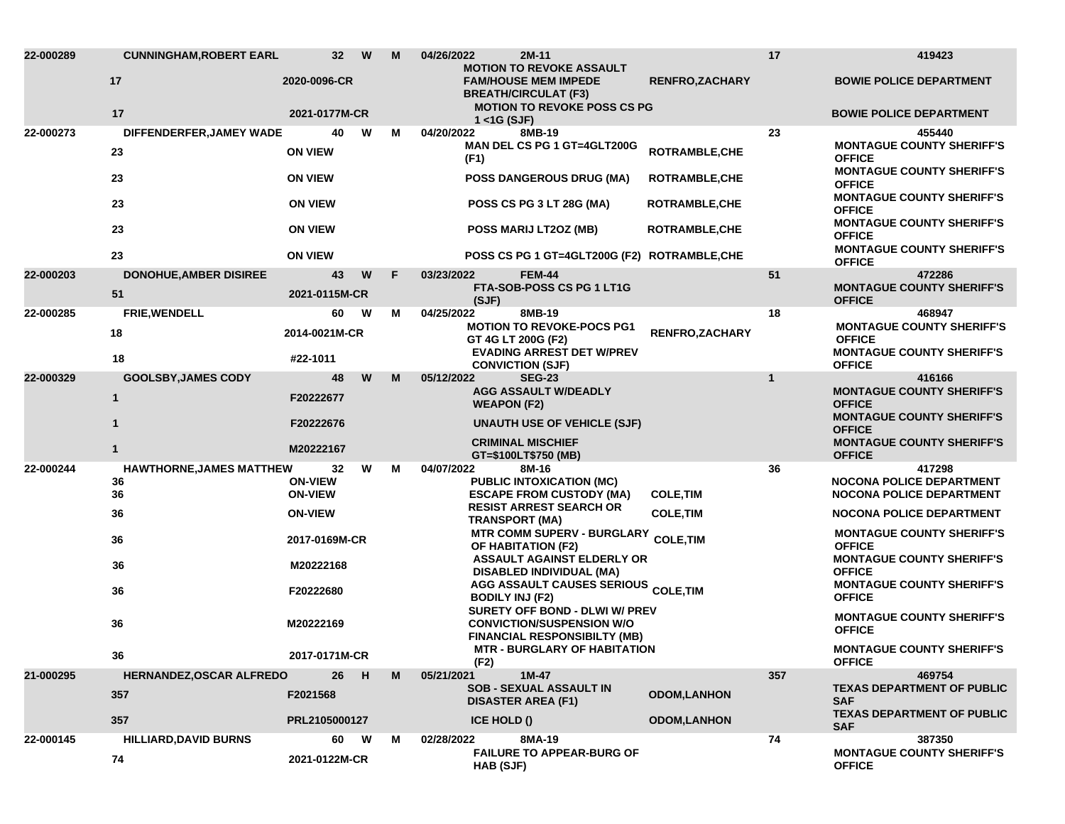| 22-000289 | <b>CUNNINGHAM, ROBERT EARL</b>      | 32 <sub>2</sub>                  | W | M | 04/26/2022<br>2M-11                                                                                       | <b>MOTION TO REVOKE ASSAULT</b>             |              | 419423                                                                                |
|-----------|-------------------------------------|----------------------------------|---|---|-----------------------------------------------------------------------------------------------------------|---------------------------------------------|--------------|---------------------------------------------------------------------------------------|
|           | 17<br>17                            | 2020-0096-CR<br>2021-0177M-CR    |   |   | <b>FAM/HOUSE MEM IMPEDE</b><br><b>BREATH/CIRCULAT (F3)</b><br><b>MOTION TO REVOKE POSS CS PG</b>          | <b>RENFRO, ZACHARY</b>                      |              | <b>BOWIE POLICE DEPARTMENT</b><br><b>BOWIE POLICE DEPARTMENT</b>                      |
|           |                                     |                                  |   |   | $1 <$ $<$ 1G (SJF)                                                                                        |                                             |              |                                                                                       |
| 22-000273 | DIFFENDERFER, JAMEY WADE<br>23      | 40<br><b>ON VIEW</b>             | W | м | 04/20/2022<br>8MB-19<br>MAN DEL CS PG 1 GT=4GLT200G<br>(F1)                                               | <b>ROTRAMBLE, CHE</b>                       | 23           | 455440<br><b>MONTAGUE COUNTY SHERIFF'S</b><br><b>OFFICE</b>                           |
|           | 23                                  | <b>ON VIEW</b>                   |   |   | <b>POSS DANGEROUS DRUG (MA)</b>                                                                           | <b>ROTRAMBLE, CHE</b>                       |              | <b>MONTAGUE COUNTY SHERIFF'S</b><br><b>OFFICE</b><br><b>MONTAGUE COUNTY SHERIFF'S</b> |
|           | 23                                  | <b>ON VIEW</b>                   |   |   | POSS CS PG 3 LT 28G (MA)                                                                                  | <b>ROTRAMBLE,CHE</b>                        |              | <b>OFFICE</b><br><b>MONTAGUE COUNTY SHERIFF'S</b>                                     |
|           | 23                                  | <b>ON VIEW</b>                   |   |   | POSS MARIJ LT20Z (MB)                                                                                     | ROTRAMBLE, CHE                              |              | <b>OFFICE</b><br><b>MONTAGUE COUNTY SHERIFF'S</b>                                     |
|           | 23                                  | <b>ON VIEW</b>                   |   |   |                                                                                                           | POSS CS PG 1 GT=4GLT200G (F2) ROTRAMBLE,CHE |              | <b>OFFICE</b>                                                                         |
| 22-000203 | <b>DONOHUE, AMBER DISIREE</b><br>51 | 43<br>2021-0115M-CR              | W | F | <b>FEM-44</b><br>03/23/2022<br>FTA-SOB-POSS CS PG 1 LT1G<br>(SJF)                                         |                                             | 51           | 472286<br><b>MONTAGUE COUNTY SHERIFF'S</b><br><b>OFFICE</b>                           |
| 22-000285 | FRIE, WENDELL                       | 60                               | W | м | 04/25/2022<br>8MB-19                                                                                      |                                             | 18           | 468947                                                                                |
|           | 18                                  | 2014-0021M-CR                    |   |   | <b>MOTION TO REVOKE-POCS PG1</b><br>GT 4G LT 200G (F2)                                                    | <b>RENFRO, ZACHARY</b>                      |              | <b>MONTAGUE COUNTY SHERIFF'S</b><br><b>OFFICE</b>                                     |
|           | 18                                  | #22-1011                         |   |   | <b>EVADING ARREST DET W/PREV</b><br><b>CONVICTION (SJF)</b>                                               |                                             |              | <b>MONTAGUE COUNTY SHERIFF'S</b><br><b>OFFICE</b>                                     |
| 22-000329 | <b>GOOLSBY, JAMES CODY</b>          | 48                               | W | M | 05/12/2022<br><b>SEG-23</b>                                                                               |                                             | $\mathbf{1}$ | 416166                                                                                |
|           | $\mathbf{1}$                        | F20222677                        |   |   | <b>AGG ASSAULT W/DEADLY</b><br><b>WEAPON (F2)</b>                                                         |                                             |              | <b>MONTAGUE COUNTY SHERIFF'S</b><br><b>OFFICE</b>                                     |
|           | $\mathbf{1}$                        | F20222676                        |   |   | <b>UNAUTH USE OF VEHICLE (SJF)</b>                                                                        |                                             |              | <b>MONTAGUE COUNTY SHERIFF'S</b><br><b>OFFICE</b>                                     |
|           | 1                                   | M20222167                        |   |   | <b>CRIMINAL MISCHIEF</b><br>GT=\$100LT\$750 (MB)                                                          |                                             |              | <b>MONTAGUE COUNTY SHERIFF'S</b><br><b>OFFICE</b>                                     |
| 22-000244 | <b>HAWTHORNE, JAMES MATTHEW</b>     | 32                               | W | м | 04/07/2022<br>8M-16                                                                                       |                                             | 36           | 417298                                                                                |
|           | 36<br>36                            | <b>ON-VIEW</b><br><b>ON-VIEW</b> |   |   | PUBLIC INTOXICATION (MC)<br><b>ESCAPE FROM CUSTODY (MA)</b>                                               | <b>COLE, TIM</b>                            |              | <b>NOCONA POLICE DEPARTMENT</b><br><b>NOCONA POLICE DEPARTMENT</b>                    |
|           | 36                                  | <b>ON-VIEW</b>                   |   |   | <b>RESIST ARREST SEARCH OR</b><br><b>TRANSPORT (MA)</b>                                                   | <b>COLE, TIM</b>                            |              | <b>NOCONA POLICE DEPARTMENT</b>                                                       |
|           | 36                                  | 2017-0169M-CR                    |   |   | OF HABITATION (F2)                                                                                        | MTR COMM SUPERV - BURGLARY COLE, TIM        |              | <b>MONTAGUE COUNTY SHERIFF'S</b><br><b>OFFICE</b>                                     |
|           | 36                                  | M20222168                        |   |   | ASSAULT AGAINST ELDERLY OR<br><b>DISABLED INDIVIDUAL (MA)</b>                                             |                                             |              | <b>MONTAGUE COUNTY SHERIFF'S</b><br><b>OFFICE</b>                                     |
|           | 36                                  | F20222680                        |   |   | <b>AGG ASSAULT CAUSES SERIOUS COLE,TIM</b><br><b>BODILY INJ (F2)</b>                                      |                                             |              | <b>MONTAGUE COUNTY SHERIFF'S</b><br><b>OFFICE</b>                                     |
|           | 36                                  | M20222169                        |   |   | SURETY OFF BOND - DLWI W/ PREV<br><b>CONVICTION/SUSPENSION W/O</b><br><b>FINANCIAL RESPONSIBILTY (MB)</b> |                                             |              | <b>MONTAGUE COUNTY SHERIFF'S</b><br><b>OFFICE</b>                                     |
|           | 36                                  | 2017-0171M-CR                    |   |   | (F2)                                                                                                      | <b>MTR - BURGLARY OF HABITATION</b>         |              | <b>MONTAGUE COUNTY SHERIFF'S</b><br><b>OFFICE</b>                                     |
| 21-000295 | HERNANDEZ, OSCAR ALFREDO            | 26                               | H | M | 05/21/2021<br>$1M-47$                                                                                     |                                             | 357          | 469754                                                                                |
|           | 357                                 | F2021568                         |   |   | <b>SOB - SEXUAL ASSAULT IN</b><br><b>DISASTER AREA (F1)</b>                                               | <b>ODOM,LANHON</b>                          |              | <b>TEXAS DEPARTMENT OF PUBLIC</b><br><b>SAF</b>                                       |
|           | 357                                 | PRL2105000127                    |   |   | <b>ICE HOLD ()</b>                                                                                        | <b>ODOM,LANHON</b>                          |              | <b>TEXAS DEPARTMENT OF PUBLIC</b><br><b>SAF</b>                                       |
| 22-000145 | <b>HILLIARD, DAVID BURNS</b><br>74  | 60<br>2021-0122M-CR              | W | М | 02/28/2022<br>8MA-19<br><b>FAILURE TO APPEAR-BURG OF</b><br>HAB (SJF)                                     |                                             | 74           | 387350<br><b>MONTAGUE COUNTY SHERIFF'S</b><br><b>OFFICE</b>                           |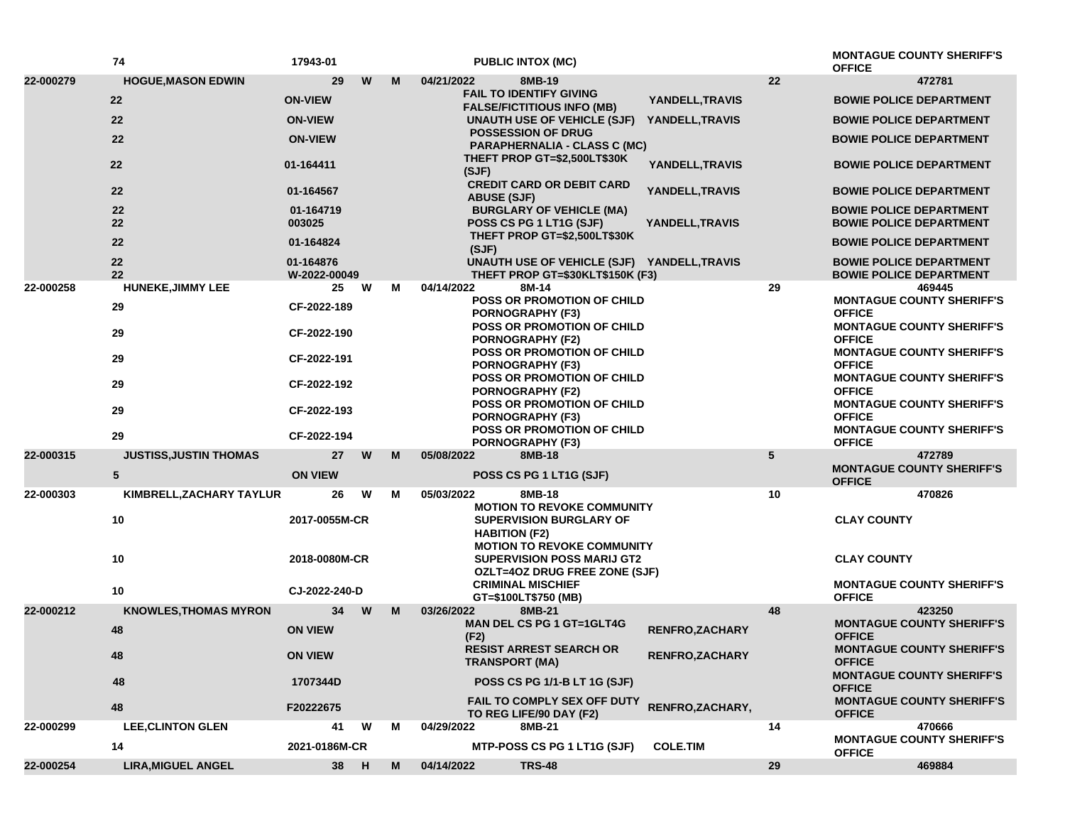|           | 74                            | 17943-01                         |   |   | <b>PUBLIC INTOX (MC)</b>                                                                                                     |                       |                    | <b>MONTAGUE COUNTY SHERIFF'S</b><br><b>OFFICE</b>                                     |
|-----------|-------------------------------|----------------------------------|---|---|------------------------------------------------------------------------------------------------------------------------------|-----------------------|--------------------|---------------------------------------------------------------------------------------|
| 22-000279 | <b>HOGUE, MASON EDWIN</b>     | 29                               | W | M | 04/21/2022<br>8MB-19                                                                                                         |                       | 22                 | 472781                                                                                |
|           | 22                            | <b>ON-VIEW</b>                   |   |   | <b>FAIL TO IDENTIFY GIVING</b><br><b>FALSE/FICTITIOUS INFO (MB)</b>                                                          | YANDELL, TRAVIS       |                    | <b>BOWIE POLICE DEPARTMENT</b>                                                        |
|           | 22                            | <b>ON-VIEW</b>                   |   |   | UNAUTH USE OF VEHICLE (SJF)                                                                                                  | YANDELL, TRAVIS       |                    | <b>BOWIE POLICE DEPARTMENT</b>                                                        |
|           | 22                            | <b>ON-VIEW</b>                   |   |   | <b>POSSESSION OF DRUG</b><br><b>PARAPHERNALIA - CLASS C (MC)</b>                                                             |                       |                    | <b>BOWIE POLICE DEPARTMENT</b>                                                        |
|           | 22                            | 01-164411                        |   |   | THEFT PROP GT=\$2,500LT\$30K<br>(SJF)                                                                                        | YANDELL, TRAVIS       |                    | <b>BOWIE POLICE DEPARTMENT</b>                                                        |
|           | 22                            | 01-164567                        |   |   | <b>CREDIT CARD OR DEBIT CARD</b><br><b>ABUSE (SJF)</b>                                                                       | YANDELL, TRAVIS       |                    | <b>BOWIE POLICE DEPARTMENT</b>                                                        |
|           | 22<br>22                      | 01-164719<br>003025<br>01-164824 |   |   | <b>BURGLARY OF VEHICLE (MA)</b><br>POSS CS PG 1 LT1G (SJF)                                                                   | YANDELL, TRAVIS       |                    | <b>BOWIE POLICE DEPARTMENT</b><br><b>BOWIE POLICE DEPARTMENT</b>                      |
|           | 22                            |                                  |   |   | THEFT PROP GT=\$2,500LT\$30K<br>(SJF)                                                                                        |                       |                    | <b>BOWIE POLICE DEPARTMENT</b>                                                        |
|           | 22<br>22                      | 01-164876<br>W-2022-00049        |   |   | UNAUTH USE OF VEHICLE (SJF) YANDELL, TRAVIS<br>THEFT PROP GT=\$30KLT\$150K (F3)                                              |                       |                    | <b>BOWIE POLICE DEPARTMENT</b><br><b>BOWIE POLICE DEPARTMENT</b>                      |
| 22-000258 | <b>HUNEKE, JIMMY LEE</b>      | 25                               | W | м | 04/14/2022<br>8M-14                                                                                                          |                       | 29                 | 469445                                                                                |
|           | 29                            | CF-2022-189                      |   |   | POSS OR PROMOTION OF CHILD<br><b>PORNOGRAPHY (F3)</b>                                                                        |                       |                    | <b>MONTAGUE COUNTY SHERIFF'S</b><br><b>OFFICE</b>                                     |
|           | 29                            | CF-2022-190<br>CF-2022-191       |   |   | POSS OR PROMOTION OF CHILD<br><b>PORNOGRAPHY (F2)</b><br>POSS OR PROMOTION OF CHILD                                          |                       |                    | <b>MONTAGUE COUNTY SHERIFF'S</b><br><b>OFFICE</b><br><b>MONTAGUE COUNTY SHERIFF'S</b> |
|           | 29                            |                                  |   |   | <b>PORNOGRAPHY (F3)</b>                                                                                                      |                       | <b>OFFICE</b>      |                                                                                       |
|           | 29                            | CF-2022-192                      |   |   | <b>POSS OR PROMOTION OF CHILD</b><br><b>PORNOGRAPHY (F2)</b><br><b>POSS OR PROMOTION OF CHILD</b><br><b>PORNOGRAPHY (F3)</b> |                       |                    | <b>MONTAGUE COUNTY SHERIFF'S</b><br><b>OFFICE</b>                                     |
|           | 29                            | CF-2022-193                      |   |   |                                                                                                                              |                       |                    | <b>MONTAGUE COUNTY SHERIFF'S</b><br><b>OFFICE</b>                                     |
|           | 29                            | CF-2022-194                      |   |   | POSS OR PROMOTION OF CHILD<br><b>PORNOGRAPHY (F3)</b>                                                                        |                       |                    | <b>MONTAGUE COUNTY SHERIFF'S</b><br><b>OFFICE</b>                                     |
| 22-000315 | <b>JUSTISS, JUSTIN THOMAS</b> | 27                               | W | M | 05/08/2022<br>8MB-18                                                                                                         |                       | $5\phantom{.0}$    | 472789                                                                                |
|           | 5                             | <b>ON VIEW</b>                   |   |   | POSS CS PG 1 LT1G (SJF)                                                                                                      |                       |                    | <b>MONTAGUE COUNTY SHERIFF'S</b><br><b>OFFICE</b>                                     |
| 22-000303 | KIMBRELL, ZACHARY TAYLUR      | 26                               | W | м | 05/03/2022<br>8MB-18                                                                                                         |                       | 10                 | 470826                                                                                |
|           | 10                            | 2017-0055M-CR                    |   |   | <b>MOTION TO REVOKE COMMUNITY</b><br><b>SUPERVISION BURGLARY OF</b>                                                          |                       |                    | <b>CLAY COUNTY</b>                                                                    |
|           |                               |                                  |   |   | <b>HABITION (F2)</b><br><b>MOTION TO REVOKE COMMUNITY</b>                                                                    |                       |                    |                                                                                       |
|           | 10                            | 2018-0080M-CR                    |   |   | <b>SUPERVISION POSS MARIJ GT2</b><br>OZLT=4OZ DRUG FREE ZONE (SJF)                                                           |                       | <b>CLAY COUNTY</b> |                                                                                       |
|           | 10                            | CJ-2022-240-D                    |   |   | <b>CRIMINAL MISCHIEF</b>                                                                                                     |                       |                    | <b>MONTAGUE COUNTY SHERIFF'S</b><br><b>OFFICE</b>                                     |
| 22-000212 | <b>KNOWLES, THOMAS MYRON</b>  | 34                               | W | M | GT=\$100LT\$750 (MB)<br>03/26/2022<br>8MB-21                                                                                 |                       | 48                 | 423250                                                                                |
|           | 48                            | <b>ON VIEW</b>                   |   |   | <b>MAN DEL CS PG 1 GT=1GLT4G</b><br>(F2)                                                                                     | <b>RENFRO,ZACHARY</b> |                    | <b>MONTAGUE COUNTY SHERIFF'S</b><br><b>OFFICE</b>                                     |
|           | 48                            | <b>ON VIEW</b><br>1707344D       |   |   | <b>RESIST ARREST SEARCH OR</b><br><b>TRANSPORT (MA)</b>                                                                      | RENFRO, ZACHARY       |                    | <b>MONTAGUE COUNTY SHERIFF'S</b><br><b>OFFICE</b>                                     |
|           | 48                            |                                  |   |   | POSS CS PG 1/1-B LT 1G (SJF)                                                                                                 |                       |                    | <b>MONTAGUE COUNTY SHERIFF'S</b><br><b>OFFICE</b>                                     |
|           | 48                            | F20222675                        |   |   | <b>FAIL TO COMPLY SEX OFF DUTY</b><br>TO REG LIFE/90 DAY (F2)                                                                | RENFRO, ZACHARY,      |                    | <b>MONTAGUE COUNTY SHERIFF'S</b><br><b>OFFICE</b>                                     |
| 22-000299 | <b>LEE, CLINTON GLEN</b>      | 41                               | W | М | 04/29/2022<br>8MB-21                                                                                                         |                       | 14                 | 470666                                                                                |
|           | 14                            | 2021-0186M-CR                    |   |   | MTP-POSS CS PG 1 LT1G (SJF)                                                                                                  | <b>COLE.TIM</b>       |                    | <b>MONTAGUE COUNTY SHERIFF'S</b><br><b>OFFICE</b>                                     |
| 22-000254 | <b>LIRA, MIGUEL ANGEL</b>     | 38 H                             |   | M | 04/14/2022<br><b>TRS-48</b>                                                                                                  |                       | 29                 | 469884                                                                                |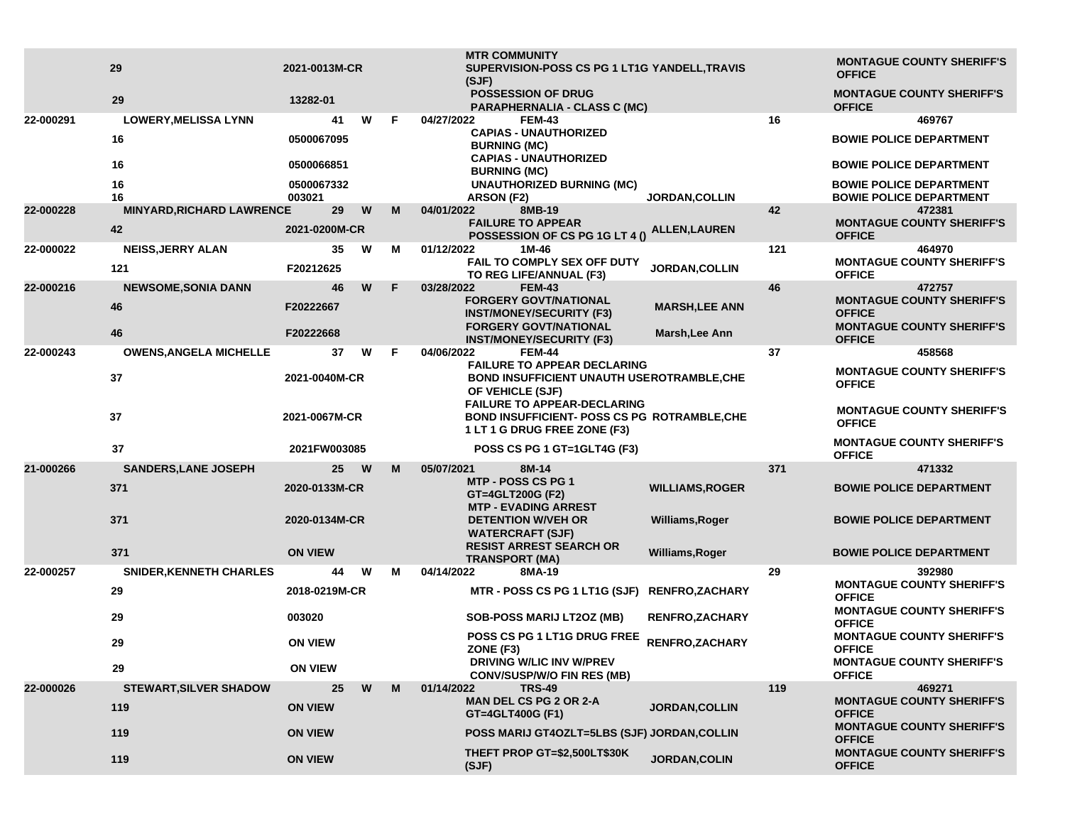|           | 29                               | 2021-0013M-CR            |   |    | <b>MTR COMMUNITY</b><br>SUPERVISION-POSS CS PG 1 LT1G YANDELL, TRAVIS                                              |                        |               | <b>MONTAGUE COUNTY SHERIFF'S</b>                                 |
|-----------|----------------------------------|--------------------------|---|----|--------------------------------------------------------------------------------------------------------------------|------------------------|---------------|------------------------------------------------------------------|
|           |                                  |                          |   |    | (SJF)                                                                                                              |                        | <b>OFFICE</b> |                                                                  |
|           | 29                               | 13282-01                 |   |    | <b>POSSESSION OF DRUG</b><br>PARAPHERNALIA - CLASS C (MC)                                                          |                        |               | <b>MONTAGUE COUNTY SHERIFF'S</b><br><b>OFFICE</b>                |
| 22-000291 | <b>LOWERY, MELISSA LYNN</b>      | 41                       | W | F. | 04/27/2022<br><b>FEM-43</b>                                                                                        |                        | 16            | 469767                                                           |
|           | 16                               | 0500067095               |   |    | <b>CAPIAS - UNAUTHORIZED</b><br><b>BURNING (MC)</b>                                                                |                        |               | <b>BOWIE POLICE DEPARTMENT</b>                                   |
|           | 16                               | 0500066851               |   |    | <b>CAPIAS - UNAUTHORIZED</b><br><b>BURNING (MC)</b>                                                                |                        |               | <b>BOWIE POLICE DEPARTMENT</b>                                   |
|           | 16<br>16                         | 0500067332<br>003021     |   |    | <b>UNAUTHORIZED BURNING (MC)</b><br><b>ARSON (F2)</b>                                                              | <b>JORDAN, COLLIN</b>  |               | <b>BOWIE POLICE DEPARTMENT</b><br><b>BOWIE POLICE DEPARTMENT</b> |
| 22-000228 | <b>MINYARD, RICHARD LAWRENCE</b> | 29                       | W | M  | 04/01/2022<br>8MB-19                                                                                               |                        | 42            | 472381                                                           |
|           | 42                               | 2021-0200M-CR            |   |    | <b>FAILURE TO APPEAR</b><br>POSSESSION OF CS PG 1G LT 4 ()                                                         | ALLEN,LAUREN           |               | <b>MONTAGUE COUNTY SHERIFF'S</b><br><b>OFFICE</b>                |
| 22-000022 | <b>NEISS, JERRY ALAN</b>         | 35                       | W | M  | 01/12/2022<br>1M-46                                                                                                |                        | 121           | 464970                                                           |
|           | 121                              | F20212625                |   |    | FAIL TO COMPLY SEX OFF DUTY<br>TO REG LIFE/ANNUAL (F3)                                                             | <b>JORDAN, COLLIN</b>  |               | <b>MONTAGUE COUNTY SHERIFF'S</b><br><b>OFFICE</b>                |
| 22-000216 | <b>NEWSOME, SONIA DANN</b>       | 46                       | W | F  | 03/28/2022<br><b>FEM-43</b>                                                                                        |                        | 46            | 472757                                                           |
|           | 46                               | F20222667                |   |    | <b>FORGERY GOVT/NATIONAL</b><br><b>INST/MONEY/SECURITY (F3)</b>                                                    | <b>MARSH, LEE ANN</b>  |               | <b>MONTAGUE COUNTY SHERIFF'S</b><br><b>OFFICE</b>                |
|           | 46                               | F20222668                |   |    | <b>FORGERY GOVT/NATIONAL</b><br><b>INST/MONEY/SECURITY (F3)</b>                                                    | Marsh, Lee Ann         |               | <b>MONTAGUE COUNTY SHERIFF'S</b><br><b>OFFICE</b>                |
| 22-000243 | <b>OWENS, ANGELA MICHELLE</b>    | 37                       | W | F. | <b>FEM-44</b><br>04/06/2022                                                                                        |                        | 37            | 458568                                                           |
|           | 37                               | 2021-0040M-CR            |   |    | <b>FAILURE TO APPEAR DECLARING</b><br><b>BOND INSUFFICIENT UNAUTH USEROTRAMBLE, CHE</b><br>OF VEHICLE (SJF)        |                        |               | <b>MONTAGUE COUNTY SHERIFF'S</b><br><b>OFFICE</b>                |
|           | 37                               | 2021-0067M-CR            |   |    | <b>FAILURE TO APPEAR-DECLARING</b><br>BOND INSUFFICIENT- POSS CS PG ROTRAMBLE, CHE<br>1 LT 1 G DRUG FREE ZONE (F3) |                        |               | <b>MONTAGUE COUNTY SHERIFF'S</b><br><b>OFFICE</b>                |
|           | 37                               | 2021FW003085             |   |    | POSS CS PG 1 GT=1GLT4G (F3)                                                                                        |                        |               | <b>MONTAGUE COUNTY SHERIFF'S</b><br><b>OFFICE</b>                |
| 21-000266 | <b>SANDERS, LANE JOSEPH</b>      | 25                       | W | M  | 05/07/2021<br>8M-14                                                                                                |                        | 371           | 471332                                                           |
|           | 371                              | 2020-0133M-CR            |   |    | <b>MTP - POSS CS PG 1</b><br>GT=4GLT200G (F2)                                                                      | <b>WILLIAMS, ROGER</b> |               | <b>BOWIE POLICE DEPARTMENT</b>                                   |
|           | 371                              | 2020-0134M-CR            |   |    | <b>MTP - EVADING ARREST</b><br><b>DETENTION W/VEH OR</b>                                                           | Williams, Roger        |               | <b>BOWIE POLICE DEPARTMENT</b>                                   |
|           |                                  |                          |   |    | <b>WATERCRAFT (SJF)</b><br><b>RESIST ARREST SEARCH OR</b>                                                          |                        |               |                                                                  |
|           | 371                              | <b>ON VIEW</b>           |   |    | <b>TRANSPORT (MA)</b>                                                                                              | Williams, Roger        |               | <b>BOWIE POLICE DEPARTMENT</b>                                   |
| 22-000257 | <b>SNIDER, KENNETH CHARLES</b>   | 44                       | W | м  | 04/14/2022<br>8MA-19                                                                                               |                        | 29            | 392980                                                           |
|           | 29                               | 2018-0219M-CR            |   |    | MTR - POSS CS PG 1 LT1G (SJF) RENFRO, ZACHARY                                                                      |                        |               | <b>MONTAGUE COUNTY SHERIFF'S</b><br><b>OFFICE</b>                |
|           | 29                               | 003020<br><b>ON VIEW</b> |   |    | <b>SOB-POSS MARIJ LT2OZ (MB)</b>                                                                                   | <b>RENFRO, ZACHARY</b> |               | <b>MONTAGUE COUNTY SHERIFF'S</b><br><b>OFFICE</b>                |
|           | 29                               |                          |   |    | POSS CS PG 1 LT1G DRUG FREE<br>RENFRO, ZACHARY<br>ZONE (F3)                                                        |                        |               | <b>MONTAGUE COUNTY SHERIFF'S</b><br><b>OFFICE</b>                |
|           | 29                               | <b>ON VIEW</b>           |   |    | DRIVING W/LIC INV W/PREV<br><b>CONV/SUSP/W/O FIN RES (MB)</b>                                                      |                        |               | <b>MONTAGUE COUNTY SHERIFF'S</b><br><b>OFFICE</b>                |
| 22-000026 | <b>STEWART, SILVER SHADOW</b>    | 25                       | W | M  | 01/14/2022<br><b>TRS-49</b>                                                                                        |                        | 119           | 469271                                                           |
|           | 119                              | <b>ON VIEW</b>           |   |    | <b>MAN DEL CS PG 2 OR 2-A</b><br>GT=4GLT400G (F1)                                                                  | <b>JORDAN, COLLIN</b>  |               | <b>MONTAGUE COUNTY SHERIFF'S</b><br><b>OFFICE</b>                |
|           | 119                              | <b>ON VIEW</b>           |   |    | POSS MARIJ GT4OZLT=5LBS (SJF) JORDAN, COLLIN                                                                       |                        |               | <b>MONTAGUE COUNTY SHERIFF'S</b><br><b>OFFICE</b>                |
|           | 119                              | <b>ON VIEW</b>           |   |    | THEFT PROP GT=\$2,500LT\$30K<br>(SJF)                                                                              | JORDAN, COLIN          |               | <b>MONTAGUE COUNTY SHERIFF'S</b><br><b>OFFICE</b>                |